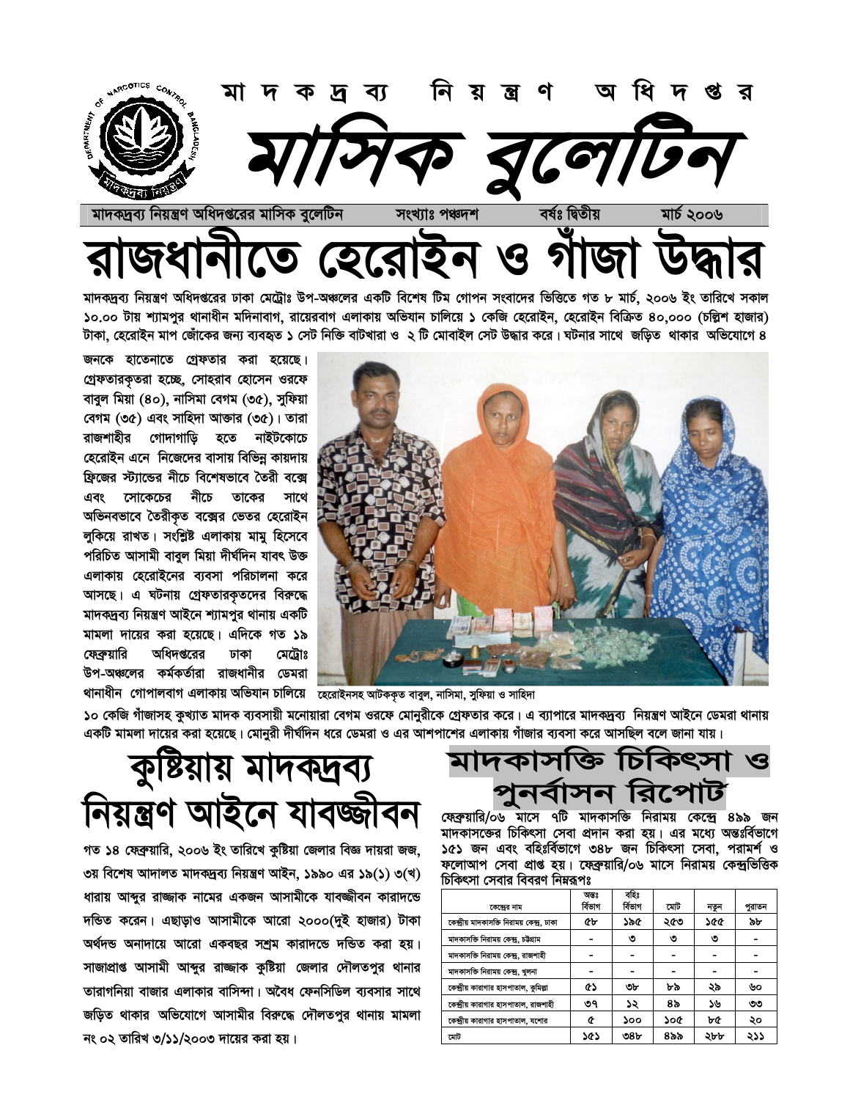

মাদকদ্রব্য নিয়ন্ত্রণ অধিদপ্তরের ঢাকা মেট্রোঃ উপ-অঞ্চলের একটি বিশেষ টিম গোপন সংবাদের ভিত্তিতে গত ৮ মার্চ, ২০০৬ ইং তারিখে সকাল ১০.০০ টায় শ্যামপুর থানাধীন মদিনাবাগ, রায়েরবাগ এলাকায় অভিযান চালিয়ে ১ কেজি হেরোইন, হেরোইন বিক্রিত ৪০,০০০ (চল্লিশ হাজার) টাকা, হেরোইন মাপ জোঁকের জন্য ব্যবহৃত ১ সেট নিক্তি বাটখারা ও ২ টি মোবাইল সেট উদ্ধার করে। ঘটনার সাথে জড়িত থাকার অভিযোগে ৪

জনকে হাতেনাতে গ্রেফতার করা হয়েছে। গ্রেফতারকৃতরা হচ্ছে, সোহরাব হোসেন ওরফে বাবুল মিয়া (৪০), নাসিমা বেগম (৩৫), সুফিয়া বেগম (৩৫) এবং সাহিদা আক্তার (৩৫)। তারা রাজশাহীর গোদাগাড়ি হতে নাইটকোচে হেরোইন এনে নিজেদের বাসায় বিভিন্ন কায়দায় ফ্রিজের স্ট্যান্ডের নীচে বিশেষভাবে তৈরী বক্সে নীচে এবং সোকেচের তাকের সাথে অভিনবভাবে তৈরীকৃত বক্সের ভেতর হেরোইন লুকিয়ে রাখত। সংশ্লিষ্ট এলাকায় মামু হিসেবে পরিচিত আসামী বাবুল মিয়া দীর্ঘদিন যাবৎ উক্ত এলাকায় হেরোইনের ব্যবসা পরিচালনা করে আসছে। এ ঘটনায় গ্রেফতারকৃতদের বিরুদ্ধে মাদকদ্রব্য নিয়ন্ত্রণ আইনে শ্যামপুর থানায় একটি মামলা দায়ের করা হয়েছে। এদিকে গত ১৯ ফেব্রুয়ারি অধিদপ্তরের মেট্ৰোঃ ঢাকা উপ-অঞ্চলের কর্মকর্তারা রাজধানীর ডেমরা



থানাধীন গোপালবাগ এলাকায় অভিযান চালিয়ে তেরোইনসহ আটককৃত বাবুল, নাসিমা, সুফিয়া ও সাহিদা

১০ কেজি গাঁজাসহ কুখ্যাত মাদক ব্যবসায়ী মনোয়ারা বেগম ওরফে মোনুরীকে গ্রেফতার করে। এ ব্যাপারে মাদকদ্রব্য নিয়ন্ত্রণ আইনে ডেমরা থানায় একটি মামলা দায়ের করা হয়েছে। মোনুরী দীর্ঘদিন ধরে ডেমরা ও এর আশপাশের এলাকায় গাঁজার ব্যবসা করে আসছিল বলে জানা যায়।

### কুষ্টিয়ায় মাদকদ্রব্য নিয়ন্ত্ৰণ আইনে যাবজ্জীবন

গত ১৪ ফেব্রুয়ারি, ২০০৬ ইং তারিখে কুষ্টিয়া জেলার বিজ্ঞ দায়রা জজ, ৩য় বিশেষ আদালত মাদকদ্ৰব্য নিয়ন্ত্ৰণ আইন, ১৯৯০ এর ১৯(১) ৩(খ) ধারায় আব্দুর রাজ্জাক নামের একজন আসামীকে যাবজ্জীবন কারাদন্ডে দন্ডিত করেন। এছাড়াও আসামীকে আরো ২০০০(দুই হাজার) টাকা অৰ্থদন্ড অনাদায়ে আরো একবছর সশ্রম কারাদন্ডে দন্ডিত করা হয়। সাজাপ্রাপ্ত আসামী আব্দুর রাজ্জাক কুষ্টিয়া জেলার দৌলতপুর থানার তারাগনিয়া বাজার এলাকার বাসিন্দা। অবৈধ ফেনসিডিল ব্যবসার সাথে জড়িত থাকার অভিযোগে আসামীর বিরুদ্ধে দৌলতপুর থানায় মামলা নং ০২ তারিখ ৩/১১/২০০৩ দায়ের করা হয়।

মাদকাসাক্ত চিকিৎসা ও াসন ।রপে A

ফেব্রুয়ারি/০৬ মাসে ৭টি মাদকাসক্তি নিরাময় কেন্দ্রে ৪৯৯ জন মাদকাসজের চিকিৎসা সেবা প্রদান করা হয়। এর মধ্যে অন্তঃর্বিভাগে ১৫১ জন এবং বহিঃর্বিভাগে ৩৪৮ জন চিকিৎসা সেবা, পরামর্শ ও ফলোআপ সেবা প্রাপ্ত হয়। ফেব্রুয়ারি/০৬ মাসে নিরাময় কেন্দ্রভিত্তিক চিকিৎসা সেবার বিবরণ নিম্নরূপঃ

|                                             | অন্তঃ   | বহিঃ    |     |      |        |
|---------------------------------------------|---------|---------|-----|------|--------|
| কেন্দ্রের নাম                               | ৰ্বিভাগ | ৰ্বিতাগ | মোট | নতুন | পুরাতন |
| কেন্দ্ৰীয় মাদকাসক্তি নিরাময় কেন্দ্র, ঢাকা | ŒЬ      | ১৯৫     | ২৫৩ | ১৫৫  | ৯৮     |
| মাদকাসক্তি নিরাময় কেন্দ্র, চউগ্রাম         |         | ৩       | ৩   | ৩    |        |
| মাদকাসক্তি নিরাময় কেন্দ্র, রাজশাহী         |         |         |     |      |        |
| মাদকাসক্তি নিরাময় কেন্দ্র, খুলনা           |         |         |     |      |        |
| কেন্দ্রীয় কারাগার হাসপাতাল, কুমিল্পা       | Œ۵      | ৩৮      | ৮৯  | ২৯   | ৬০     |
| কেন্দ্রীয় কারাগার হাসপাতাল, রাজশাহী        | ৩৭      | ১২      | ৪৯  | ১৬   | ৩৩     |
| কেন্দ্রীয় কারাগার হাসপাতাল, যশোর           | œ       | ১০০     | ১০৫ | ৮৫   | ২০     |
| মোট                                         | ১৫১     | ৩৪৮     | ৪৯৯ | ২৮৮  | ২১১    |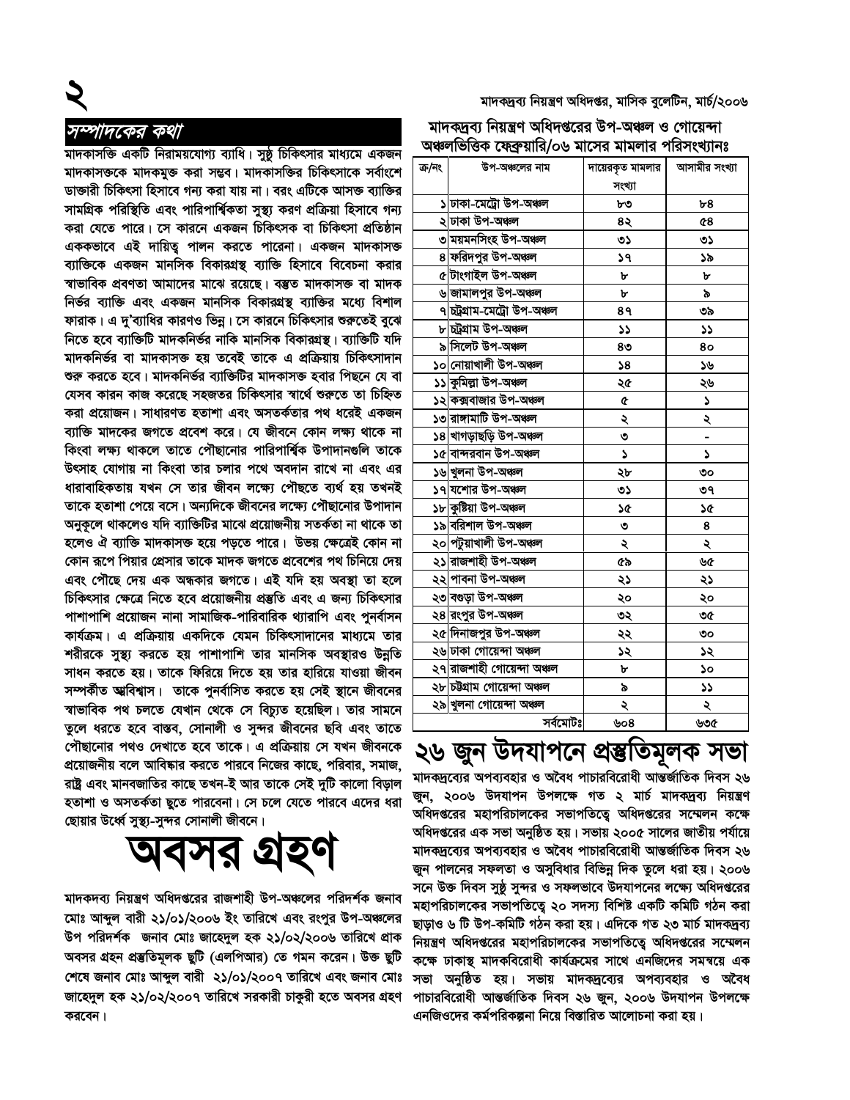মাদকদ্রব্য নিয়ন্ত্রণ অধিদপ্তর, মাসিক বুলেটিন, মার্চ/২০০৬

সম্পাদকের কথা

মাদকাসক্তি একটি নিরাময়যোগ্য ব্যাধি। সুষ্ঠু চিকিৎসার মাধ্যমে একজন মাদকাসক্তকে মাদকমুক্ত করা সম্ভব। মাদকাসক্তির চিকিৎসাকে সর্বাংশে ডাক্তারী চিকিৎসা হিসাবে গন্য করা যায় না। বরং এটিকে আসক্ত ব্যাক্তির সামগ্রিক পরিস্থিতি এবং পারিপার্শ্বিকতা সুস্থ্য করণ প্রক্রিয়া হিসাবে গন্য করা যেতে পারে। সে কারনে একজন চিকিৎসক বা চিকিৎসা প্রতিষ্ঠান এককভাবে এই দায়িত্ব পালন করতে পারেনা। একজন মাদকাসক্ত ব্যাক্তিকে একজন মানসিক বিকারগ্রন্থ ব্যাক্তি হিসাবে বিবেচনা করার স্বাভাবিক প্রবণতা আমাদের মাঝে রয়েছে। বম্ভুত মাদকাসক্ত বা মাদক নিৰ্ভর ব্যাক্তি এবং একজন মানসিক বিকারগ্রন্থ ব্যাক্তির মধ্যে বিশাল ফারাক। এ দু'ব্যাধির কারণও ভিন্ন। সে কারনে চিকিৎসার শুরুতেই বুঝে নিতে হবে ব্যাক্তিটি মাদকনিৰ্ভর নাকি মানসিক বিকারগ্রন্থ । ব্যাক্তিটি যদি মাদকনিৰ্ভর বা মাদকাসক্ত হয় তবেই তাকে এ প্রক্রিয়ায় চিকিৎসাদান শুরু করতে হবে। মাদকনির্ভর ব্যাক্তিটির মাদকাসক্ত হবার পিছনে যে বা যেসব কারন কাজ করেছে সহজতর চিকিৎসার স্বার্থে শুরুতে তা চিহ্নিত করা প্রয়োজন। সাধারণত হতাশা এবং অসতর্কতার পথ ধরেই একজন ব্যাক্তি মাদকের জগতে প্রবেশ করে। যে জীবনে কোন লক্ষ্য থাকে না কিংবা লক্ষ্য থাকলে তাতে পৌছানোর পারিপার্শ্বিক উপাদানগুলি তাকে উৎসাহ যোগায় না কিংবা তার চলার পথে অবদান রাখে না এবং এর ধারাবাহিকতায় যখন সে তার জীবন লক্ষ্যে পৌছতে ব্যর্থ হয় তখনই তাকে হতাশা পেয়ে বসে। অন্যদিকে জীবনের লক্ষ্যে পৌছানোর উপাদান অনুকূলে থাকলেও যদি ব্যাক্তিটির মাঝে প্রয়োজনীয় সতর্কতা না থাকে তা হলেও ঐ ব্যাক্তি মাদকাসক্ত হয়ে পড়তে পারে। উভয় ক্ষেত্রেই কোন না কোন রূপে পিয়ার প্রেসার তাকে মাদক জগতে প্রবেশের পথ চিনিয়ে দেয় এবং পৌছে দেয় এক অন্ধকার জগতে। এই যদি হয় অবস্থা তা হলে চিকিৎসার ক্ষেত্রে নিতে হবে প্রয়োজনীয় প্রস্তুতি এবং এ জন্য চিকিৎসার পাশাপাশি প্রয়োজন নানা সামাজিক-পারিবারিক থ্যারাপি এবং পুনর্বাসন কার্যক্রম। এ প্রক্রিয়ায় একদিকে যেমন চিকিৎসাদানের মাধ্যমে তার শরীরকে সুস্থ্য করতে হয় পাশাপাশি তার মানসিক অবস্থারও উন্নতি সাধন করতে হয়। তাকে ফিরিয়ে দিতে হয় তার হারিয়ে যাওয়া জীবন সম্পৰ্কীত আ্ববিশ্বাস। তাকে পুনৰ্বাসিত করতে হয় সেই স্থানে জীবনের স্বাভাবিক পথ চলতে যেখান থেকে সে বিচ্যুত হয়েছিল। তার সামনে তুলে ধরতে হবে বাস্তব, সোনালী ও সুন্দর জীবনের ছবি এবং তাতে পৌছানোর পথও দেখাতে হবে তাকে। এ প্রক্রিয়ায় সে যখন জীবনকে প্রয়োজনীয় বলে আবিষ্কার করতে পারবে নিজের কাছে, পরিবার, সমাজ, রাষ্ট্র এবং মানবজাতির কাছে তখন-ই আর তাকে সেই দুটি কালো বিড়াল হতাশা ও অসতর্কতা ছুতে পারবেনা। সে চলে যেতে পারবে এদের ধরা ছোয়ার উর্ধ্বে সুস্থ্য-সুন্দর সোনালী জীবনে।

অবসর গ্রহণ

মাদকদব্য নিয়ন্ত্রণ অধিদপ্তরের রাজশাহী উপ-অঞ্চলের পরিদর্শক জনাব মোঃ আব্দুল বারী ২১/০১/২০০৬ ইং তারিখে এবং রংপুর উপ-অঞ্চলের উপ পরিদর্শক জনাব মোঃ জাহেদুল হক ২১/০২/২০০৬ তারিখে প্রাক অবসর গ্রহন প্রস্তুতিমূলক ছুটি (এলপিআর) তে গমন করেন। উক্ত ছুটি শেষে জনাব মোঃ আব্দুল বারী ২১/০১/২০০৭ তারিখে এবং জনাব মোঃ জাহেদুল হক ২১/০২/২০০৭ তারিখে সরকারী চাকুরী হতে অবসর গ্রহণ করবেন।

#### মাদকদ্রব্য নিয়ন্ত্রণ অধিদপ্তরের উপ-অঞ্চল ও গোয়েন্দা অঞ্চলভিত্তিক ফেকযাবি/০৬ মাসেব মামলাব পবিসংখ্যানঃ

|        | $\frac{1}{2}$ $\frac{1}{2}$ $\frac{1}{2}$ $\frac{1}{2}$ $\frac{1}{2}$ $\frac{1}{2}$ $\frac{1}{2}$ $\frac{1}{2}$ $\frac{1}{2}$ $\frac{1}{2}$ $\frac{1}{2}$ $\frac{1}{2}$ $\frac{1}{2}$ $\frac{1}{2}$ $\frac{1}{2}$ $\frac{1}{2}$ $\frac{1}{2}$ $\frac{1}{2}$ $\frac{1}{2}$ $\frac{1}{2}$ $\frac{1}{2}$ $\frac{1}{2}$ |                  |               |
|--------|---------------------------------------------------------------------------------------------------------------------------------------------------------------------------------------------------------------------------------------------------------------------------------------------------------------------|------------------|---------------|
| ক্ৰ/নং | উপ-অঞ্চলের নাম                                                                                                                                                                                                                                                                                                      | দায়েরকৃত মামলার | আসামীর সংখ্যা |
|        |                                                                                                                                                                                                                                                                                                                     | সংখ্যা           |               |
|        | ১ ঢাকা-মেট্ৰো উপ-অঞ্চল                                                                                                                                                                                                                                                                                              | ৮৩               | b8            |
|        | ২ ঢাকা উপ-অঞ্চল                                                                                                                                                                                                                                                                                                     | ৪২               | 68            |
|        | ৩ ময়মনসিংহ উপ-অঞ্চল                                                                                                                                                                                                                                                                                                | ৩১               | ৩১            |
|        | 8 ফরিদপুর উপ-অঞ্চল                                                                                                                                                                                                                                                                                                  | ১৭               | ১৯            |
|        | ৫ টাংগাইল উপ-অঞ্চল                                                                                                                                                                                                                                                                                                  | ৮                | ৮             |
|        | ৬ <mark>জামালপুর উপ-অঞ্চল</mark>                                                                                                                                                                                                                                                                                    | ৮                | ৯             |
|        | ৭ <mark>চট্ৰগ্ৰাম-মেট্ৰো উপ-অঞ্চল</mark>                                                                                                                                                                                                                                                                            | 8۹               | ৩৯            |
|        | ৮ চট্ৰগ্ৰাম উপ-অঞ্চল                                                                                                                                                                                                                                                                                                | 52               | دد            |
|        | ৯ সিলেট উপ-অঞ্চল                                                                                                                                                                                                                                                                                                    | 80               | 80            |
|        | ১০ নোয়াখালী উপ-অঞ্চল                                                                                                                                                                                                                                                                                               | 58               | ১৬            |
|        | ১১ কুমিল্লা উপ-অঞ্চল                                                                                                                                                                                                                                                                                                | ২৫               | ২৬            |
|        | ১২ কক্সবাজার উপ-অঞ্চল                                                                                                                                                                                                                                                                                               | ¢                | ډ             |
|        | ১৩ রাঙ্গামাটি উপ-অঞ্চল                                                                                                                                                                                                                                                                                              | ২                | ২             |
|        | ১৪ খাগড়াছড়ি উপ-অঞ্চল                                                                                                                                                                                                                                                                                              | ৩                |               |
|        | ১৫ বান্দরবান উপ-অঞ্চল                                                                                                                                                                                                                                                                                               | J                | S             |
|        | ১৬ খুলনা উপ-অঞ্চল                                                                                                                                                                                                                                                                                                   | ২৮               | ৩০            |
|        | ১৭ যশোর উপ-অঞ্চল                                                                                                                                                                                                                                                                                                    | ৩১               | ৩৭            |
|        | ১৮ কুষ্টিয়া উপ-অঞ্চল                                                                                                                                                                                                                                                                                               | ১৫               | ১৫            |
|        | ১৯ বরিশাল উপ-অঞ্চল                                                                                                                                                                                                                                                                                                  | ৩                | 8             |
|        | ২০ <mark>পটুয়াখালী উপ-অঞ্চল</mark>                                                                                                                                                                                                                                                                                 | ২                | ২             |
|        | ২১ রাজশাহী উপ-অঞ্চল                                                                                                                                                                                                                                                                                                 | ৫৯               | ৬৫            |
|        | ২২ পাবনা উপ-অঞ্চল                                                                                                                                                                                                                                                                                                   | ২১               | ২১            |
|        | ২৩ বগুড়া উপ-অঞ্চল                                                                                                                                                                                                                                                                                                  | ২০               | ২০            |
|        | ২৪ <mark>রংপুর উপ-অঞ্চল</mark>                                                                                                                                                                                                                                                                                      | ৩২               | ৩৫            |
|        | ২৫ দিনাজপুর উপ-অঞ্চল                                                                                                                                                                                                                                                                                                | ২২               | ৩০            |
|        | ২৬ ঢাকা গোয়েন্দা অঞ্চল                                                                                                                                                                                                                                                                                             | ১২               | ১২            |
|        | ২৭ রাজশাহী গোয়েন্দা অঞ্চল                                                                                                                                                                                                                                                                                          | ৮                | ১০            |
|        | ২৮ চউগ্ৰাম গোয়েন্দা অঞ্চল                                                                                                                                                                                                                                                                                          | ৯                | دد            |
|        | ২৯ খুলনা গোয়েন্দা অঞ্চল                                                                                                                                                                                                                                                                                            | ২                | ২             |
|        | সৰ্বমোটঃ                                                                                                                                                                                                                                                                                                            | ৬০৪              | ৬৩৫           |
|        |                                                                                                                                                                                                                                                                                                                     |                  |               |

#### ২৬ জুন উদযাপনে প্ৰস্তুতিমূলক সভা

মাদকদ্রব্যের অপব্যবহার ও অবৈধ পাচারবিরোধী আন্তর্জাতিক দিবস ২৬ জুন, ২০০৬ উদযাপন উপলক্ষে গত ২ মাৰ্চ মাদকদ্ৰব্য নিয়ন্ত্ৰণ অধিদপ্তরের মহাপরিচালকের সভাপতিত্বে অধিদপ্তরের সম্মেলন কক্ষে অধিদপ্তরের এক সভা অনুষ্ঠিত হয়। সভায় ২০০৫ সালের জাতীয় পর্যায়ে মাদকদ্রব্যের অপব্যবহার ও অবৈধ পাচারবিরোধী আন্তর্জাতিক দিবস ২৬ জুন পালনের সফলতা ও অসুবিধার বিভিন্ন দিক তুলে ধরা হয়। ২০০৬ সনে উক্ত দিবস সুষ্ঠ সুন্দর ও সফলভাবে উদযাপনের লক্ষ্যে অধিদপ্তরের মহাপরিচালকের সভাপতিত্বে ২০ সদস্য বিশিষ্ট একটি কমিটি গঠন করা ছাড়াও ৬ টি উপ-কমিটি গঠন করা হয়। এদিকে গত ২৩ মার্চ মাদকদ্রব্য নিয়ন্ত্রণ অধিদপ্তরের মহাপরিচালকের সভাপতিত্বে অধিদপ্তরের সম্মেলন কক্ষে ঢাকাস্থ মাদকবিরোধী কার্যক্রমের সাথে এনজিদের সমন্বয়ে এক সভা অনুষ্ঠিত হয়। সভায় মাদকদ্রব্যের অপব্যবহার ও অবৈধ পাচারবিরোধী আন্তর্জাতিক দিবস ২৬ জুন, ২০০৬ উদযাপন উপলক্ষে এনজিওদের কর্মপরিকল্পনা নিয়ে বিস্তারিত আলোচনা করা হয়।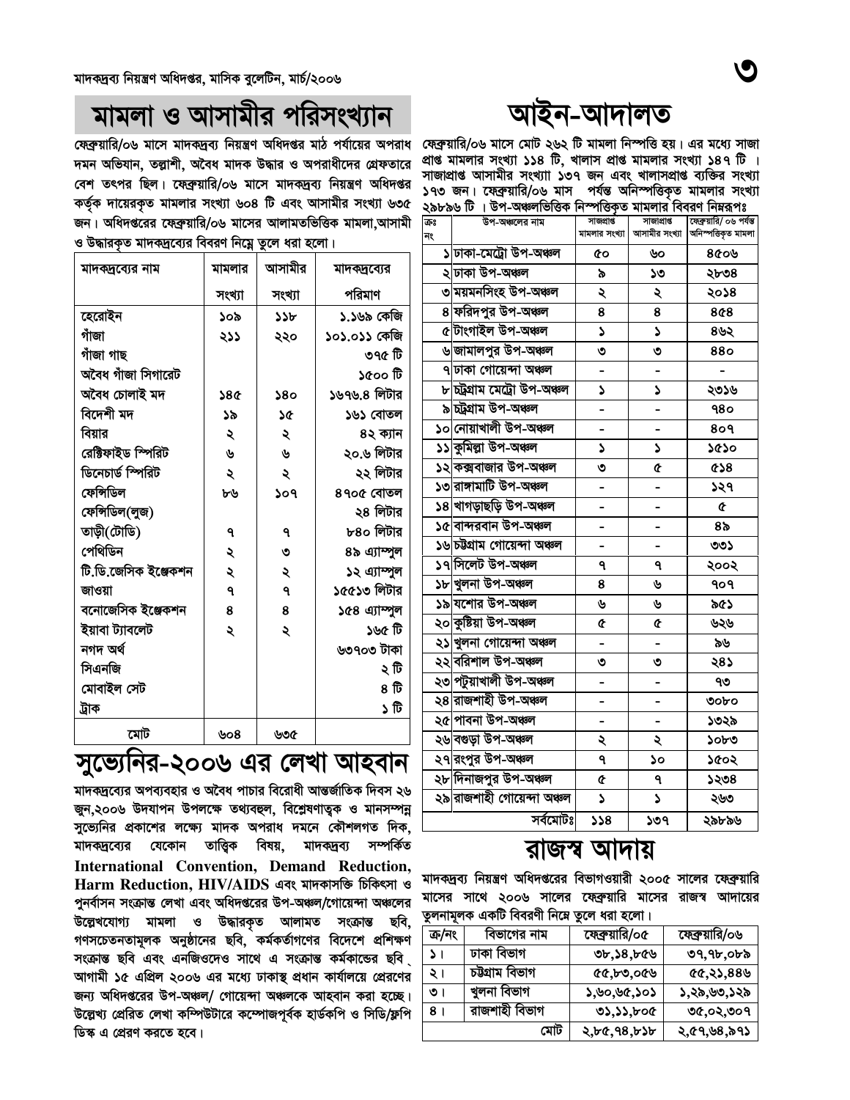#### -আদালত

ফেব্রুয়ারি/০৬ মাসে মোট ২৬২ টি মামলা নিস্পত্তি হয়। এর মধ্যে সাজা প্রাপ্ত মামলার সংখ্যা ১১৪ টি. খালাস প্রাপ্ত মামলার সংখ্যা ১৪৭ টি । সাজাপ্রাপ্ত আসামীর সংখ্যাা ১৩৭ জন এবং খালাসপ্রাপ্ত ব্যক্তির সংখ্যা ১৭৩ জন। ফেব্রুয়ারি/০৬ মাস পর্যন্ত অনিস্পত্তিকত মামলার সংখ্যা ২৯৮৯৬ টি । উপ-অঞ্চলভিত্তিক নিস্পত্তিকত মামলার বিবরণ নিম্নরূপঃ

| ক্রঃ<br>নং | উপ-অঞ্চলের নাম                       | সাজপ্ৰাপ্ত<br>মামলার সংখ্যা | সাজাপ্ৰাপ্ত<br>আসামীর সংখ্যা | ফ্রেক্স্যারি/ ০৬ পর্যন্ত<br>অনিস্পত্তিকৃত মামলা |
|------------|--------------------------------------|-----------------------------|------------------------------|-------------------------------------------------|
|            | ১ ঢাকা-মেট্ৰো উপ-অঞ্চল               | Œо                          | ৬০                           | ৪৫০৬                                            |
|            | ২ ঢাকা উপ-অঞ্চল                      | ৯                           | ১৩                           | ২৮৩৪                                            |
|            | ৩ ময়মনসিংহ উপ-অঞ্চল                 | ২                           | ২                            | ২০১৪                                            |
|            | 8 ফরিদপুর উপ-অঞ্চল                   | 8                           | 8                            | 8¢8                                             |
|            | ৫ টাংগাইল উপ-অঞ্চল                   | S                           | S                            | ৪৬২                                             |
|            | ৬ জামালপুর উপ-অঞ্চল                  | ৩                           | ৩                            | 880                                             |
|            | ৭ ঢাকা গোয়েন্দা অঞ্চল               |                             |                              |                                                 |
|            | ৮ চট্ৰগ্ৰাম মেট্ৰো উপ-অঞ্চল          | ډ                           | ډ                            | ২৩১৬                                            |
|            | ৯ চট্ৰগ্ৰাম উপ-অঞ্চল                 |                             |                              | 980                                             |
|            | ১০ নোয়াখালী উপ-অঞ্চল                |                             |                              | 809                                             |
|            | ১১ কুমিল্লা উপ-অঞ্চল                 | ډ                           | ډ                            | ১৫১০                                            |
|            | ১২ কক্সবাজার উপ-অঞ্চল                | ৩                           | œ                            | ৫১৪                                             |
|            | ১৩ রাঙ্গামাটি উপ-অঞ্চল               |                             |                              | ১২৭                                             |
|            | ১৪ খাগড়াছড়ি উপ-অঞ্চল               | -                           |                              | ¢                                               |
|            | ১৫ বান্দরবান উপ-অঞ্চল                |                             |                              | ৪৯                                              |
|            | ১৬ চউগ্ৰাম গোয়েন্দা অঞ্চল           |                             |                              | ৩৩১                                             |
|            | ১৭ সিলেট উপ-অঞ্চল                    | ٩                           | ٩                            | ২০০২                                            |
|            | ১৮ খুলনা উপ-অঞ্চল                    | 8                           | ৬                            | १०१                                             |
|            | ১৯ যশোর উপ-অঞ্চল                     | ৬                           | ৬                            | ৯৫১                                             |
|            | ২০ কুষ্টিয়া উপ-অঞ্চল                | ¢                           | œ                            | ৬২৬                                             |
|            | ২১ খুলনা গোয়েন্দা অঞ্চল             |                             |                              | ৯৬                                              |
|            | ২২ বরিশাল উপ-অঞ্চল                   | ৩                           | ৩                            | ২৪১                                             |
|            | ২৩ <mark> পটুয়াখালী উপ-অঞ্চল</mark> | -                           | -                            | ৭৩                                              |
|            | ২৪ <mark>রাজশাহী উপ-অঞ্চল</mark>     |                             |                              | ৩০৮০                                            |
|            | ২৫ পাবনা উপ-অঞ্চল                    |                             |                              | ১৩২৯                                            |
|            | ২৬ বগুড়া উপ-অঞ্চল                   | ২                           | ২                            | ১০৮৩                                            |
|            | ২৭ রংপুর উপ-অঞ্চল                    | ٩                           | ১০                           | ১৫০২                                            |
|            | ২৮ দিনাজপুর উপ-অঞ্চল                 | ¢                           | ٩                            | ১২৩৪                                            |
|            | ২৯ রাজশাহী গোয়েন্দা অঞ্চল           | Š                           | Š                            | ২৬৩                                             |
|            | সৰ্বমোটঃ                             | 358                         | ১৩৭                          | ২৯৮৯৬                                           |

#### ৱাজস্ব আদায়

মাদকদ্রব্য নিয়ন্ত্রণ অধিদপ্তরের বিভাগওয়ারী ২০০৫ সালের ফেব্রুয়ারি মাসের সাথে ২০০৬ সালের ফেব্রুয়ারি মাসের রাজস্ব আদায়ের তুলনামূলক একটি বিবরণী নিম্নে তুলে ধরা হলো।

| ক্ৰ/নং | বিভাগের নাম   | ফেব্রুয়ারি/০৫ | ফেব্রুয়ারি/০৬ |
|--------|---------------|----------------|----------------|
| ا د    | ঢাকা বিভাগ    | 0, 38, 60      | ৩৭,৭৮,০৮৯      |
| ২।     | চউগ্ৰাম বিভাগ | Q(x, b, c)     | (6, 2, 88)     |
| ৩।     | খুলনা বিভাগ   | ১,৬০,৬৫,১০১    | ১,২৯,৬৩,১২৯    |
| 81     | রাজশাহী বিভাগ | 03,33,600      | ৩৫,০২,৩০৭      |
|        | মোট           | 2,66,98,656    | ২,৫৭,৬৪,৯৭১    |

### মামলা ও আসামীর পরিসংখ্যান

ফেব্রুয়ারি/০৬ মাসে মাদকদ্রব্য নিয়ন্ত্রণ অধিদপ্তর মাঠ পর্যায়ের অপরাধ দমন অভিযান, তল্লাশী, অবৈধ মাদক উদ্ধার ও অপরাধীদের গ্রেফতারে বেশ তৎপর ছিল। ফেব্রুয়ারি/০৬ মাসে মাদকদ্রব্য নিয়ন্ত্রণ অধিদপ্তর কৰ্তুক দায়েৱকত মামলার সংখ্যা ৬০৪ টি এবং আসামীর সংখ্যা ৬৩৫ জন। অধিদপ্তরের ফেব্রুয়ারি/০৬ মাসের আলামতভিত্তিক মামলা আসামী ও উদ্ধারকত মাদকদবোর বিবরণ নিমে তলে ধরা হলো।

| মাদক্দ্রব্যের নাম    | মামলার | আসামীর | মাদক্ষ্রব্যের |
|----------------------|--------|--------|---------------|
|                      | সংখ্যা | সংখ্যা | পরিমাণ        |
| হেরোইন               | ১০৯    | ১১৮    | ১.১৬৯ কেজি    |
| গাঁজা                | ২১১    | ২২০    | ১০১.০১১ কেজি  |
| গাঁজা গাছ            |        |        | ৩৭৫ টি        |
| অবৈধ গাঁজা সিগারেট   |        |        | ৰ্ঘ ০০গ্ৰ     |
| অবৈধ চোলাই মদ        | 586    | 380    | ১৬৭৬.৪ লিটার  |
| বিদেশী মদ            | ১৯     | ነ৫     | ১৬১ বোতল      |
| বিয়ার               | ২      | ২      | ৪২ ক্যান      |
| ৱেক্টিফাইড স্পিৱিট   | ৬      | ৬      | ২০.৬ লিটার    |
| ডিনেচার্ড স্পিরিট    | ২      | ২      | ২২ লিটার      |
| ফেন্সিডিল            | ৮৬     | ১০৭    | ৪৭০৫ বোতল     |
| ফেন্সিডিল(লুজ)       |        |        | ২৪ লিটার      |
| তাড়ী(টোডি)          | ٩      | ٩      | ৮৪০ লিটার     |
| পেথিডিন              | ২      | ৩      | ৪৯ এ্যাম্পুল  |
| টি.ডি.জেসিক ইঞ্জেকশন | ২      | ২      | ১২ এ্যাম্পুল  |
| জাওয়া               | ٩      | ٩      | ১৫৫১৩ লিটার   |
| বনোজেসিক ইঞ্জেকশন    | 8      | 8      | ১৫৪ এ্যাম্পুল |
| ইয়াবা ট্যাবলেট      | ২      | ২      | টী ১৬৫        |
| নগদ অৰ্থ             |        |        | ৬৩৭০৩ টাকা    |
| সিএনজি               |        |        | ২ টি          |
| মোবাইল সেট           |        |        | ৪ টি          |
| ট্ৰাক                |        |        | ১ টি          |
| মোট                  | ৬০৪    | ৬৩৫    |               |

#### সুভ্যেনির-২০০৬ এর লেখা আহবান

মাদকদ্রব্যের অপব্যবহার ও অবৈধ পাচার বিরোধী আন্তর্জাতিক দিবস ২৬ জুন,২০০৬ উদযাপন উপলক্ষে তথ্যবহুল, বিশ্লেষণাত্ত্বক ও মানসম্পন্ন সুভ্যেনির প্রকাশের লক্ষ্যে মাদক অপরাধ দমনে কৌশলগত দিক, মাদকদ্রব্যের যেকোন তাত্ত্বিক বিষয়, মাদকদ্রব্য সম্পর্কিত International Convention, Demand Reduction, Harm Reduction. HIV/AIDS এবং মাদকাসক্তি চিকিৎসা ও পুনর্বাসন সংক্রান্ত লেখা এবং অধিদপ্তরের উপ-অঞ্চল/গোয়েন্দা অঞ্চলের উল্লেখযোগ্য মামলা ও উদ্ধারকৃত আলামত সংক্রান্ত ছবি, গণসচেতনতামূলক অনুষ্ঠানের ছবি, কর্মকর্তাগণের বিদেশে প্রশিক্ষণ সংক্ৰান্ত ছবি এবং এনজিওদেও সাথে এ সংক্ৰান্ত কৰ্মকান্ডের ছবি আগামী ১৫ এপ্রিল ২০০৬ এর মধ্যে ঢাকাস্থ প্রধান কার্যালয়ে প্রেরণের জন্য অধিদপ্তরের উপ-অঞ্চল/ গোয়েন্দা অঞ্চলকে আহবান করা হচ্ছে। উল্লেখ্য প্ৰেরিত লেখা কম্পিউটারে কম্পোজপূর্বক হার্ডকপি ও সিডি/ফ্লপি ডিস্ক এ প্রেরণ করতে হবে।